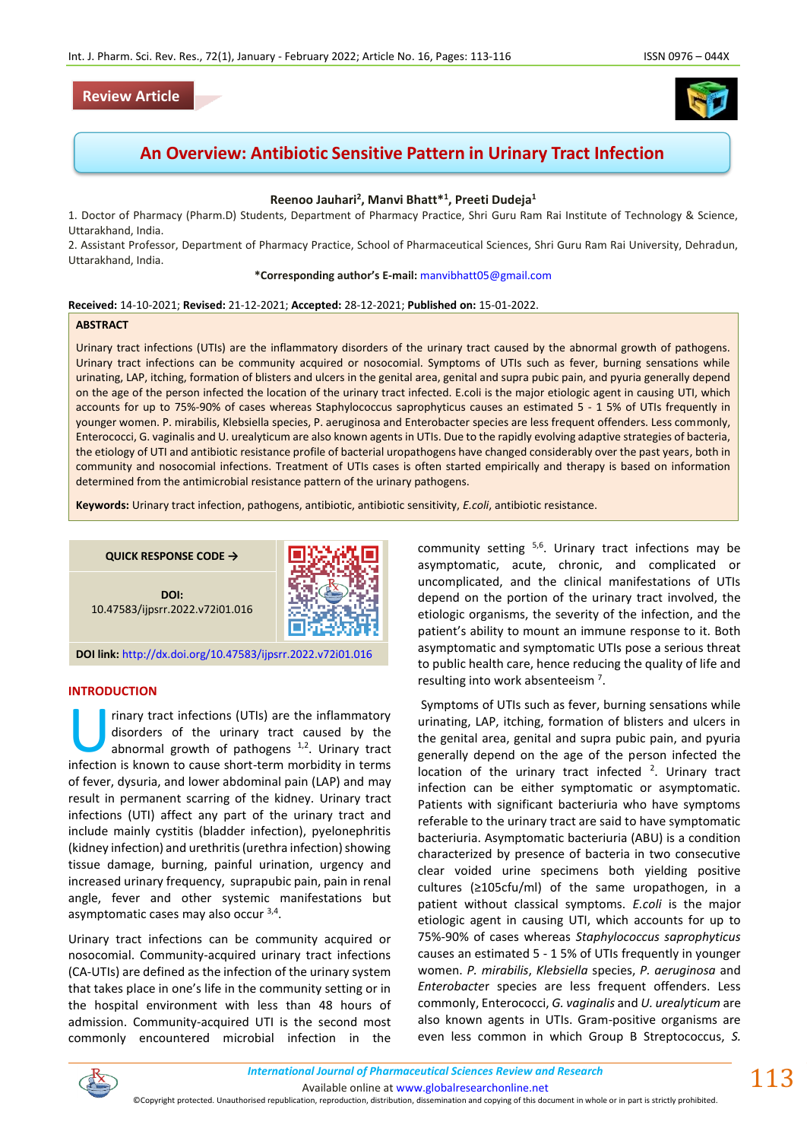# **Review Article**



# **An Overview: Antibiotic Sensitive Pattern in Urinary Tract Infection**

# **Reenoo Jauhari<sup>2</sup> , Manvi Bhatt\*<sup>1</sup> , Preeti Dudeja<sup>1</sup>**

1. Doctor of Pharmacy (Pharm.D) Students, Department of Pharmacy Practice, Shri Guru Ram Rai Institute of Technology & Science, Uttarakhand, India.

2. Assistant Professor, Department of Pharmacy Practice, School of Pharmaceutical Sciences, Shri Guru Ram Rai University, Dehradun, Uttarakhand, India.

**\*Corresponding author's E-mail:** [manvibhatt05@gmail.com](mailto:manvibhatt05@gmail.com)

#### **Received:** 14-10-2021; **Revised:** 21-12-2021; **Accepted:** 28-12-2021; **Published on:** 15-01-2022.

#### **ABSTRACT**

Urinary tract infections (UTIs) are the inflammatory disorders of the urinary tract caused by the abnormal growth of pathogens. Urinary tract infections can be community acquired or nosocomial. Symptoms of UTIs such as fever, burning sensations while urinating, LAP, itching, formation of blisters and ulcers in the genital area, genital and supra pubic pain, and pyuria generally depend on the age of the person infected the location of the urinary tract infected. E.coli is the major etiologic agent in causing UTI, which accounts for up to 75%-90% of cases whereas Staphylococcus saprophyticus causes an estimated 5 - 1 5% of UTIs frequently in younger women. P. mirabilis, Klebsiella species, P. aeruginosa and Enterobacter species are less frequent offenders. Less commonly, Enterococci, G. vaginalis and U. urealyticum are also known agents in UTIs. Due to the rapidly evolving adaptive strategies of bacteria, the etiology of UTI and antibiotic resistance profile of bacterial uropathogens have changed considerably over the past years, both in community and nosocomial infections. Treatment of UTIs cases is often started empirically and therapy is based on information determined from the antimicrobial resistance pattern of the urinary pathogens.

**Keywords:** Urinary tract infection, pathogens, antibiotic, antibiotic sensitivity, *E.coli*, antibiotic resistance.

**QUICK RESPONSE CODE →**





**DOI link:** <http://dx.doi.org/10.47583/ijpsrr.2022.v72i01.016>

# **INTRODUCTION**

rinary tract infections (UTIs) are the inflammatory disorders of the urinary tract caused by the abnormal growth of pathogens <sup>1,2</sup>. Urinary tract rinary tract infections (UTIs) are the inflammatory disorders of the urinary tract caused by the abnormal growth of pathogens <sup>1,2</sup>. Urinary tract infection is known to cause short-term morbidity in terms of fever, dysuria, and lower abdominal pain (LAP) and may result in permanent scarring of the kidney. Urinary tract infections (UTI) affect any part of the urinary tract and include mainly cystitis (bladder infection), pyelonephritis (kidney infection) and urethritis (urethra infection) showing tissue damage, burning, painful urination, urgency and increased urinary frequency, suprapubic pain, pain in renal angle, fever and other systemic manifestations but asymptomatic cases may also occur <sup>3,4</sup>.

Urinary tract infections can be community acquired or nosocomial. Community-acquired urinary tract infections (CA-UTIs) are defined as the infection of the urinary system that takes place in one's life in the community setting or in the hospital environment with less than 48 hours of admission. Community-acquired UTI is the second most commonly encountered microbial infection in the

community setting <sup>5,6</sup>. Urinary tract infections may be asymptomatic, acute, chronic, and complicated or uncomplicated, and the clinical manifestations of UTIs depend on the portion of the urinary tract involved, the etiologic organisms, the severity of the infection, and the patient's ability to mount an immune response to it. Both asymptomatic and symptomatic UTIs pose a serious threat to public health care, hence reducing the quality of life and resulting into work absenteeism<sup>7</sup>.

Symptoms of UTIs such as fever, burning sensations while urinating, LAP, itching, formation of blisters and ulcers in the genital area, genital and supra pubic pain, and pyuria generally depend on the age of the person infected the location of the urinary tract infected  $2$ . Urinary tract infection can be either symptomatic or asymptomatic. Patients with significant bacteriuria who have symptoms referable to the urinary tract are said to have symptomatic bacteriuria. Asymptomatic bacteriuria (ABU) is a condition characterized by presence of bacteria in two consecutive clear voided urine specimens both yielding positive cultures (≥105cfu/ml) of the same uropathogen, in a patient without classical symptoms. *E.coli* is the major etiologic agent in causing UTI, which accounts for up to 75%-90% of cases whereas *Staphylococcus saprophyticus*  causes an estimated 5 - 1 5% of UTIs frequently in younger women. *P. mirabilis*, *Klebsiella* species, *P. aeruginosa* and *Enterobacte*r species are less frequent offenders. Less commonly, Enterococci, *G. vaginalis* and *U. urealyticum* are also known agents in UTIs. Gram-positive organisms are even less common in which Group B Streptococcus, *S.* 



113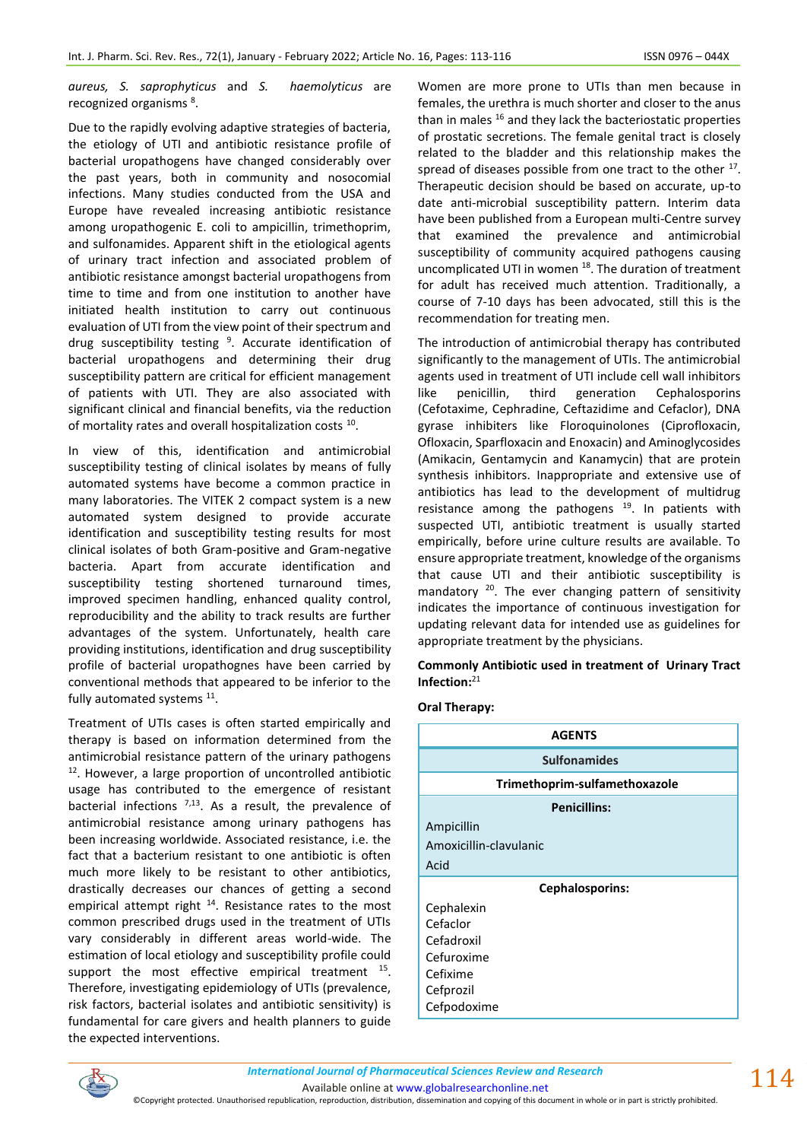*aureus, S. saprophyticus* and *S. haemolyticus* are recognized organisms<sup>8</sup>.

Due to the rapidly evolving adaptive strategies of bacteria, the etiology of UTI and antibiotic resistance profile of bacterial uropathogens have changed considerably over the past years, both in community and nosocomial infections. Many studies conducted from the USA and Europe have revealed increasing antibiotic resistance among uropathogenic E. coli to ampicillin, trimethoprim, and sulfonamides. Apparent shift in the etiological agents of urinary tract infection and associated problem of antibiotic resistance amongst bacterial uropathogens from time to time and from one institution to another have initiated health institution to carry out continuous evaluation of UTI from the view point of their spectrum and drug susceptibility testing <sup>9</sup>. Accurate identification of bacterial uropathogens and determining their drug susceptibility pattern are critical for efficient management of patients with UTI. They are also associated with significant clinical and financial benefits, via the reduction of mortality rates and overall hospitalization costs  $^{10}$ .

In view of this, identification and antimicrobial susceptibility testing of clinical isolates by means of fully automated systems have become a common practice in many laboratories. The VITEK 2 compact system is a new automated system designed to provide accurate identification and susceptibility testing results for most clinical isolates of both Gram-positive and Gram-negative bacteria. Apart from accurate identification and susceptibility testing shortened turnaround times, improved specimen handling, enhanced quality control, reproducibility and the ability to track results are further advantages of the system. Unfortunately, health care providing institutions, identification and drug susceptibility profile of bacterial uropathognes have been carried by conventional methods that appeared to be inferior to the fully automated systems <sup>11</sup>.

Treatment of UTIs cases is often started empirically and therapy is based on information determined from the antimicrobial resistance pattern of the urinary pathogens  $12$ . However, a large proportion of uncontrolled antibiotic usage has contributed to the emergence of resistant bacterial infections  $7,13$ . As a result, the prevalence of antimicrobial resistance among urinary pathogens has been increasing worldwide. Associated resistance, i.e. the fact that a bacterium resistant to one antibiotic is often much more likely to be resistant to other antibiotics, drastically decreases our chances of getting a second empirical attempt right <sup>14</sup>. Resistance rates to the most common prescribed drugs used in the treatment of UTIs vary considerably in different areas world-wide. The estimation of local etiology and susceptibility profile could support the most effective empirical treatment  $15$ . Therefore, investigating epidemiology of UTIs (prevalence, risk factors, bacterial isolates and antibiotic sensitivity) is fundamental for care givers and health planners to guide the expected interventions.

Women are more prone to UTIs than men because in females, the urethra is much shorter and closer to the anus than in males  $16$  and they lack the bacteriostatic properties of prostatic secretions. The female genital tract is closely related to the bladder and this relationship makes the spread of diseases possible from one tract to the other  $17$ . Therapeutic decision should be based on accurate, up-to date anti-microbial susceptibility pattern. Interim data have been published from a European multi-Centre survey that examined the prevalence and antimicrobial susceptibility of community acquired pathogens causing uncomplicated UTI in women <sup>18</sup>. The duration of treatment for adult has received much attention. Traditionally, a course of 7-10 days has been advocated, still this is the recommendation for treating men.

The introduction of antimicrobial therapy has contributed significantly to the management of UTIs. The antimicrobial agents used in treatment of UTI include cell wall inhibitors like penicillin, third generation Cephalosporins (Cefotaxime, Cephradine, Ceftazidime and Cefaclor), DNA gyrase inhibiters like Floroquinolones (Ciprofloxacin, Ofloxacin, Sparfloxacin and Enoxacin) and Aminoglycosides (Amikacin, Gentamycin and Kanamycin) that are protein synthesis inhibitors. Inappropriate and extensive use of antibiotics has lead to the development of multidrug resistance among the pathogens  $19$ . In patients with suspected UTI, antibiotic treatment is usually started empirically, before urine culture results are available. To ensure appropriate treatment, knowledge of the organisms that cause UTI and their antibiotic susceptibility is mandatory <sup>20</sup>. The ever changing pattern of sensitivity indicates the importance of continuous investigation for updating relevant data for intended use as guidelines for appropriate treatment by the physicians.

**Commonly Antibiotic used in treatment of Urinary Tract Infection:**<sup>21</sup>

# **Oral Therapy:**

| <b>AGENTS</b>                 |  |
|-------------------------------|--|
| <b>Sulfonamides</b>           |  |
| Trimethoprim-sulfamethoxazole |  |
| <b>Penicillins:</b>           |  |
| Ampicillin                    |  |
| Amoxicillin-clavulanic        |  |
| Acid                          |  |
| <b>Cephalosporins:</b>        |  |
| Cephalexin                    |  |
| Cefaclor                      |  |
| Cefadroxil                    |  |
| Cefuroxime                    |  |
| Cefixime                      |  |
| Cefprozil                     |  |
| Cefpodoxime                   |  |



Available online a[t www.globalresearchonline.net](http://www.globalresearchonline.net/)

©Copyright protected. Unauthorised republication, reproduction, distribution, dissemination and copying of this document in whole or in part is strictly prohibited.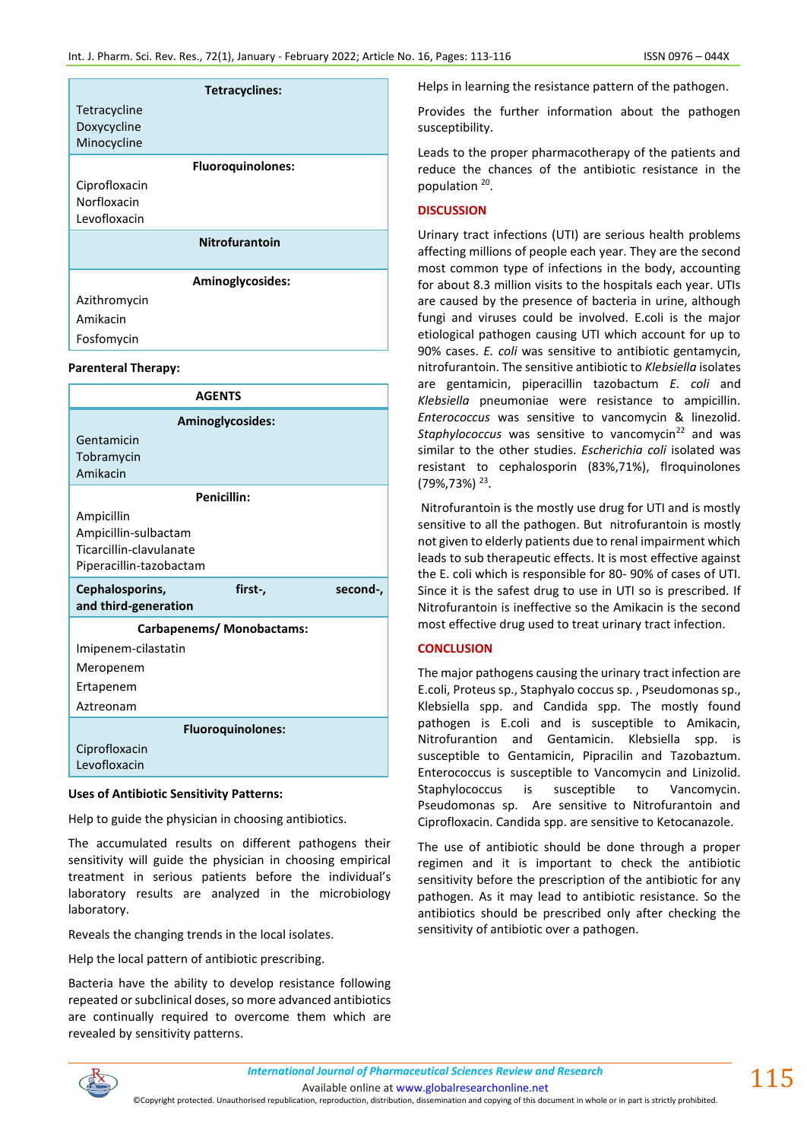|               | Tetracyclines:           |
|---------------|--------------------------|
| Tetracycline  |                          |
| Doxycycline   |                          |
| Minocycline   |                          |
|               | <b>Fluoroquinolones:</b> |
| Ciprofloxacin |                          |
| Norfloxacin   |                          |
| Levofloxacin  |                          |
|               | <b>Nitrofurantoin</b>    |
|               |                          |
|               | Aminoglycosides:         |
| Azithromycin  |                          |
| Amikacin      |                          |
| Fosfomycin    |                          |

## **Parenteral Therapy:**

| <b>AGENTS</b>                                                  |  |  |
|----------------------------------------------------------------|--|--|
| Aminoglycosides:                                               |  |  |
| Gentamicin                                                     |  |  |
| Tobramycin                                                     |  |  |
| Amikacin                                                       |  |  |
| <b>Penicillin:</b>                                             |  |  |
| Ampicillin                                                     |  |  |
| Ampicillin-sulbactam                                           |  |  |
| Ticarcillin-clavulanate                                        |  |  |
| Piperacillin-tazobactam                                        |  |  |
|                                                                |  |  |
| Cephalosporins,<br>first-,<br>second-,<br>and third-generation |  |  |
| <b>Carbapenems/ Monobactams:</b>                               |  |  |
| Imipenem-cilastatin                                            |  |  |
| Meropenem                                                      |  |  |
| Ertapenem                                                      |  |  |
| Aztreonam                                                      |  |  |
| <b>Fluoroquinolones:</b>                                       |  |  |
| Ciprofloxacin                                                  |  |  |

### **Uses of Antibiotic Sensitivity Patterns:**

Help to guide the physician in choosing antibiotics.

The accumulated results on different pathogens their sensitivity will guide the physician in choosing empirical treatment in serious patients before the individual's laboratory results are analyzed in the microbiology laboratory.

Reveals the changing trends in the local isolates.

Help the local pattern of antibiotic prescribing.

Bacteria have the ability to develop resistance following repeated or subclinical doses, so more advanced antibiotics are continually required to overcome them which are revealed by sensitivity patterns.

Helps in learning the resistance pattern of the pathogen.

Provides the further information about the pathogen susceptibility.

Leads to the proper pharmacotherapy of the patients and reduce the chances of the antibiotic resistance in the population <sup>20</sup>.

# **DISCUSSION**

Urinary tract infections (UTI) are serious health problems affecting millions of people each year. They are the second most common type of infections in the body, accounting for about 8.3 million visits to the hospitals each year. UTIs are caused by the presence of bacteria in urine, although fungi and viruses could be involved. E.coli is the major etiological pathogen causing UTI which account for up to 90% cases. *E. coli* was sensitive to antibiotic gentamycin, nitrofurantoin. The sensitive antibiotic to *Klebsiella* isolates are gentamicin, piperacillin tazobactum *E. coli* and *Klebsiella* pneumoniae were resistance to ampicillin. *Enterococcus* was sensitive to vancomycin & linezolid. Staphylococcus was sensitive to vancomycin<sup>22</sup> and was similar to the other studies. *Escherichia coli* isolated was resistant to cephalosporin (83%,71%), flroquinolones (79%,73%) <sup>23</sup> .

Nitrofurantoin is the mostly use drug for UTI and is mostly sensitive to all the pathogen. But nitrofurantoin is mostly not given to elderly patients due to renal impairment which leads to sub therapeutic effects. It is most effective against the E. coli which is responsible for 80- 90% of cases of UTI. Since it is the safest drug to use in UTI so is prescribed. If Nitrofurantoin is ineffective so the Amikacin is the second most effective drug used to treat urinary tract infection.

# **CONCLUSION**

The major pathogens causing the urinary tract infection are E.coli, Proteus sp., Staphyalo coccus sp. , Pseudomonas sp., Klebsiella spp. and Candida spp. The mostly found pathogen is E.coli and is susceptible to Amikacin, Nitrofurantion and Gentamicin. Klebsiella spp. is susceptible to Gentamicin, Pipracilin and Tazobaztum. Enterococcus is susceptible to Vancomycin and Linizolid. Staphylococcus is susceptible to Vancomycin. Pseudomonas sp. Are sensitive to Nitrofurantoin and Ciprofloxacin. Candida spp. are sensitive to Ketocanazole.

The use of antibiotic should be done through a proper regimen and it is important to check the antibiotic sensitivity before the prescription of the antibiotic for any pathogen. As it may lead to antibiotic resistance. So the antibiotics should be prescribed only after checking the sensitivity of antibiotic over a pathogen.



*International Journal of Pharmaceutical Sciences Review and Research International Journal of Pharmaceutical Sciences Review and Research*

Available online a[t www.globalresearchonline.net](http://www.globalresearchonline.net/)

©Copyright protected. Unauthorised republication, reproduction, distribution, dissemination and copying of this document in whole or in part is strictly prohibited.